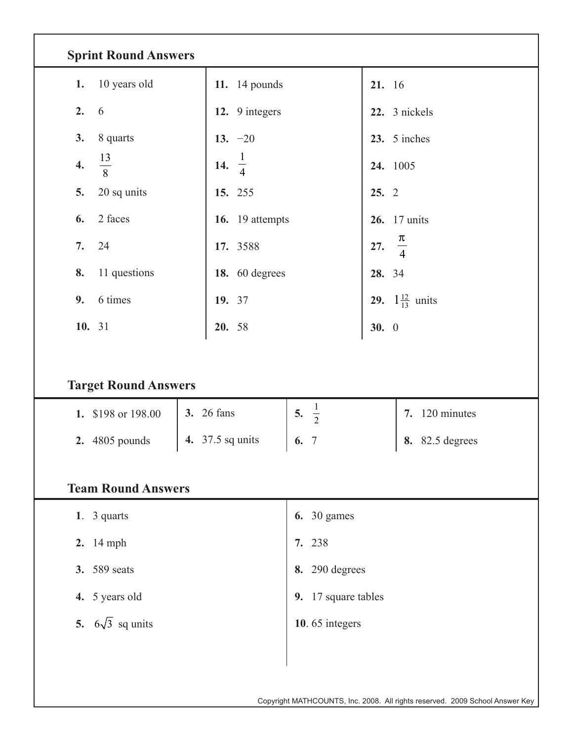| <b>Sprint Round Answers</b>        |                       |                      |                        |                                   |  |  |  |  |  |  |  |
|------------------------------------|-----------------------|----------------------|------------------------|-----------------------------------|--|--|--|--|--|--|--|
| 10 years old<br>1.                 | 11. 14 pounds         |                      | 21. 16                 |                                   |  |  |  |  |  |  |  |
| 2.<br>6                            | 12. 9 integers        |                      |                        | 22. 3 nickels                     |  |  |  |  |  |  |  |
| 8 quarts<br>3.                     | 13. $-20$             |                      |                        | 23. 5 inches                      |  |  |  |  |  |  |  |
| $\frac{13}{8}$<br>$\overline{4}$ . | 14.<br>$\overline{4}$ |                      | 24. 1005               |                                   |  |  |  |  |  |  |  |
| 20 sq units<br>5.                  | 15. 255               |                      |                        | 25.2                              |  |  |  |  |  |  |  |
| 2 faces<br>6.                      | 16. 19 attempts       |                      |                        | <b>26.</b> 17 units               |  |  |  |  |  |  |  |
| 7.<br>24                           | 17. 3588              |                      | 27.                    | $\frac{\pi}{4}$                   |  |  |  |  |  |  |  |
| 11 questions<br>8.                 | 18. 60 degrees        |                      | 28. 34                 |                                   |  |  |  |  |  |  |  |
| 6 times<br>9.                      | 19. 37                |                      |                        | <b>29.</b> $1\frac{12}{13}$ units |  |  |  |  |  |  |  |
| 10. 31                             | 20. 58                |                      | 30.0                   |                                   |  |  |  |  |  |  |  |
| <b>Target Round Answers</b>        |                       |                      |                        |                                   |  |  |  |  |  |  |  |
| 1. \$198 or 198.00                 | <b>3.</b> 26 fans     | $\frac{1}{2}$<br>5.  | 7. 120 minutes         |                                   |  |  |  |  |  |  |  |
| 2. 4805 pounds<br>4.               | 37.5 sq units         | $\overline{7}$<br>6. | <b>8.</b> 82.5 degrees |                                   |  |  |  |  |  |  |  |
| <b>Team Round Answers</b>          |                       |                      |                        |                                   |  |  |  |  |  |  |  |
| 1. $3$ quarts                      |                       |                      |                        | <b>6.</b> 30 games                |  |  |  |  |  |  |  |
| 2. 14 mph                          |                       |                      |                        | 7. 238                            |  |  |  |  |  |  |  |
| 3. 589 seats                       |                       |                      |                        | 8. 290 degrees                    |  |  |  |  |  |  |  |
| 4. 5 years old                     |                       |                      |                        | 9. 17 square tables               |  |  |  |  |  |  |  |
| 5. $6\sqrt{3}$ sq units            | 10.65 integers        |                      |                        |                                   |  |  |  |  |  |  |  |
|                                    |                       |                      |                        |                                   |  |  |  |  |  |  |  |
|                                    |                       |                      |                        |                                   |  |  |  |  |  |  |  |